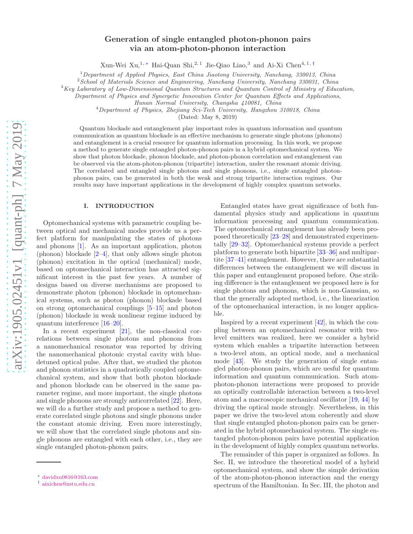# Generation of single entangled photon-phonon pairs via an atom-photon-phonon interaction

Xun-Wei Xu,<sup>1, ∗</sup> Hai-Quan Shi,<sup>2, 1</sup> Jie-Qiao Liao,<sup>3</sup> and Ai-Xi Chen<sup>4, 1,†</sup>

 $1$  Department of Applied Physics, East China Jiaotong University, Nanchang, 330013, China

<sup>2</sup> School of Materials Science and Engineering, Nanchang University, Nanchang 330031, China

 $3Key Laboratory of Low-Dimensional Quantum Structures and Quantum Control of the University of Education,$ 

Department of Physics and Synergetic Innovation Center for Quantum Effects and Applications,

Hunan Normal University, Changsha 410081, China

<sup>4</sup>Department of Physics, Zhejiang Sci-Tech University, Hangzhou 310018, China

(Dated: May 8, 2019)

Quantum blockade and entanglement play important roles in quantum information and quantum communication as quantum blockade is an effective mechanism to generate single photons (phonons) and entanglement is a crucial resource for quantum information processing. In this work, we propose a method to generate single entangled photon-phonon pairs in a hybrid optomechanical system. We show that photon blockade, phonon blockade, and photon-phonon correlation and entanglement can be observed via the atom-photon-phonon (tripartite) interaction, under the resonant atomic driving. The correlated and entangled single photons and single phonons, i.e., single entangled photonphonon pairs, can be generated in both the weak and strong tripartite interaction regimes. Our results may have important applications in the development of highly complex quantum networks.

#### I. INTRODUCTION

Optomechanical systems with parametric coupling between optical and mechanical modes provide us a perfect platform for manipulating the states of photons and phonons [1]. As an important application, photon (phonon) blockade [2–4], that only allows single photon (phonon) excitation in the optical (mechanical) mode, based on optomechanical interaction has attracted significant interest in the past few years. A number of designs based on diverse mechanisms are proposed to demonstrate photon (phonon) blockade in optomechanical systems, such as photon (phonon) blockade based on strong optomechanical couplings [5–15] and photon (phonon) blockade in weak nonlinear regime induced by quantum interference [16–20].

In a recent experiment [21], the non-classical correlations between single photons and phonons from a nanomechanical resonator was reported by driving the nanomechanical photonic crystal cavity with bluedetuned optical pulse. After that, we studied the photon and phonon statistics in a quadratically coupled optomechanical system, and show that both photon blockade and phonon blockade can be observed in the same parameter regime, and more important, the single photons and single phonons are strongly anticorrelated [22]. Here, we will do a further study and propose a method to generate correlated single photons and single phonons under the constant atomic driving. Even more interestingly, we will show that the correlated single photons and single phonons are entangled with each other, i.e., they are single entangled photon-phonon pairs.

Entangled states have great significance of both fundamental physics study and applications in quantum information processing and quantum communication. The optomechanical entanglement has already been proposed theoretically [23–28] and demonstrated experimentally [29–32]. Optomechanical systems provide a perfect platform to generate both bipartite [33–36] and multipartite [37–41] entanglement. However, there are substantial differences between the entanglement we will discuss in this paper and entanglement proposed before. One striking difference is the entanglement we proposed here is for single photons and phonons, which is non-Gaussian, so that the generally adopted method, i.e., the linearization of the optomechanical interaction, is no longer applicable.

Inspired by a recent experiment [42], in which the coupling between an optomechanical resonator with twolevel emitters was realized, here we consider a hybrid system which enables a tripartite interaction between a two-level atom, an optical mode, and a mechanical mode [43]. We study the generation of single entangled photon-phonon pairs, which are uesful for quantum information and quantum communication. Such atomphoton-phonon interactions were proposed to provide an optically controllable interaction between a two-level atom and a macroscopic mechanical oscillator [19, 44] by driving the optical mode strongly. Nevertheless, in this paper we drive the two-level atom coherently and show that single entangled photon-phonon pairs can be generated in the hybrid optomechanical system. The single entangled photon-phonon pairs have potential application in the development of highly complex quantum networks.

The remainder of this paper is organized as follows. In Sec. II, we introduce the theoretical model of a hybrid optomechanical system, and show the simple derivation of the atom-photon-phonon interaction and the energy spectrum of the Hamiltonian. In Sec. III, the photon and

<sup>∗</sup> davidxu0816@163.com

<sup>†</sup> aixichen@zstu.edu.cn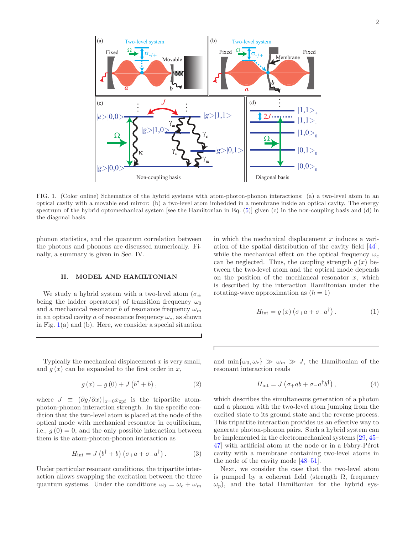

FIG. 1. (Color online) Schematics of the hybrid systems with atom-photon-phonon interactions: (a) a two-level atom in an optical cavity with a movable end mirror: (b) a two-level atom imbedded in a membrane inside an optical cavity. The energy spectrum of the hybrid optomechanical system [see the Hamiltonian in Eq. (5)] given (c) in the non-coupling basis and (d) in the diagonal basis.

Г

phonon statistics, and the quantum correlation between the photons and phonons are discussed numerically. Finally, a summary is given in Sec. IV.

#### II. MODEL AND HAMILTONIAN

We study a hybrid system with a two-level atom  $(\sigma_{+})$ being the ladder operators) of transition frequency  $\omega_0$ and a mechanical resonator b of resonance frequency  $\omega_m$ in an optical cavity a of resonance frequency  $\omega_c$ , as shown in Fig.  $1(a)$  and (b). Here, we consider a special situation

Typically the mechanical displacement  $x$  is very small. and  $g(x)$  can be expanded to the first order in x,

$$
g(x) = g(0) + J(b^{\dagger} + b), \qquad (2)
$$

where  $J \equiv (\partial g/\partial x)|_{x=0}x_{\text{zpf}}$  is the tripartite atomphoton-phonon interaction strength. In the specific condition that the two-level atom is placed at the node of the optical mode with mechanical resonator in equilibrium, i.e.,  $g(0) = 0$ , and the only possible interaction between them is the atom-photon-phonon interaction as

$$
H_{\text{int}} = J\left(b^{\dagger} + b\right)\left(\sigma_{+}a + \sigma_{-}a^{\dagger}\right). \tag{3}
$$

Under particular resonant conditions, the tripartite interaction allows swapping the excitation between the three quantum systems. Under the conditions  $\omega_0 = \omega_c + \omega_m$ 

in which the mechanical displacement  $x$  induces a variation of the spatial distribution of the cavity field [44], while the mechanical effect on the optical frequency  $\omega_c$ can be neglected. Thus, the coupling strength  $g(x)$  between the two-level atom and the optical mode depends on the position of the mechiancal resonator  $x$ , which is described by the interaction Hamiltonian under the rotating-wave approximation as  $(\hbar = 1)$ 

$$
H_{\text{int}} = g(x) \left( \sigma_+ a + \sigma_- a^\dagger \right). \tag{1}
$$

and  $\min\{\omega_0, \omega_c\} \gg \omega_m \gg J$ , the Hamiltonian of the resonant interaction reads

$$
H_{\rm int} = J\left(\sigma_+ ab + \sigma_- a^\dagger b^\dagger\right),\tag{4}
$$

which describes the simultaneous generation of a photon and a phonon with the two-level atom jumping from the excited state to its ground state and the reverse process. This tripartite interaction provides us an effective way to generate photon-phonon pairs. Such a hybrid system can be implemented in the electromechanical systems [29, 45– 47] with artificial atom at the node or in a Fabry-Pérot cavity with a membrane containing two-level atoms in the node of the cavity mode [48–51].

Next, we consider the case that the two-level atom is pumped by a coherent field (strength  $\Omega$ , frequency  $\omega_p$ , and the total Hamiltonian for the hybrid sys-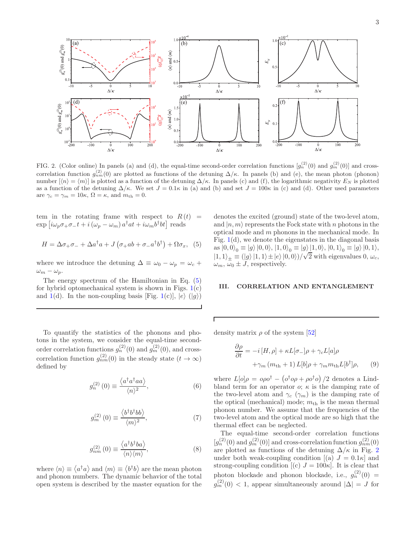

FIG. 2. (Color online) In panels (a) and (d), the equal-time second-order correlation functions  $[g_n^{(2)}(0)$  and  $g_m^{(2)}(0)]$  and crosscorrelation function  $g_{nm}^{(2)}(0)$  are plotted as functions of the detuning  $\Delta/\kappa$ . In panels (b) and (e), the mean photon (phonon) number  $\vert \langle n \rangle = \langle m \rangle \vert$  is plotted as a function of the detuning  $\Delta/\kappa$ . In panels (c) and (f), the logarithmic negativity  $E_N$  is plotted as a function of the detuning  $\Delta/\kappa$ . We set  $J = 0.1\kappa$  in (a) and (b) and set  $J = 100\kappa$  in (c) and (d). Other used parameters are  $\gamma_c = \gamma_m = 10\kappa$ ,  $\Omega = \kappa$ , and  $m_{\text{th}} = 0$ .

Г

tem in the rotating frame with respect to  $R(t)$  =  $\exp\left[i\omega_p\sigma_+\sigma_-t+i\left(\omega_p-\omega_m\right)a^\dagger at+i\omega_m b^\dagger bt\right]$  reads

$$
H = \Delta \sigma_+ \sigma_- + \Delta a^\dagger a + J \left( \sigma_+ a b + \sigma_- a^\dagger b^\dagger \right) + \Omega \sigma_x, \tag{5}
$$

where we introduce the detuning  $\Delta \equiv \omega_0 - \omega_p = \omega_c +$  $\omega_m - \omega_p$ .

The energy spectrum of the Hamiltonian in Eq. (5) for hybrid optomechanical system is shown in Figs.  $1(c)$ and 1(d). In the non-coupling basis [Fig. 1(c)],  $|e\rangle$  ( $|g\rangle$ )

To quantify the statistics of the phonons and photons in the system, we consider the equal-time secondorder correlation functions  $g_n^{(2)}(0)$  and  $g_m^{(2)}(0)$ , and crosscorrelation function  $g_{nm}^{(2)}(0)$  in the steady state  $(t \to \infty)$ defined by

$$
g_n^{(2)}(0) \equiv \frac{\langle a^\dagger a^\dagger a a \rangle}{\langle n \rangle^2},\tag{6}
$$

$$
g_m^{(2)}(0) \equiv \frac{\langle b^\dagger b^\dagger b b \rangle}{\langle m \rangle^2},\tag{7}
$$

$$
g_{nm}^{(2)}(0) \equiv \frac{\langle a^{\dagger}b^{\dagger}ba \rangle}{\langle n \rangle \langle m \rangle},\tag{8}
$$

where  $\langle n \rangle \equiv \langle a^{\dagger} a \rangle$  and  $\langle m \rangle \equiv \langle b^{\dagger} b \rangle$  are the mean photon and phonon numbers. The dynamic behavior of the total open system is described by the master equation for the

denotes the excited (ground) state of the two-level atom, and  $|n, m\rangle$  represents the Fock state with n photons in the optical mode and m phonons in the mechanical mode. In Fig.  $1(d)$ , we denote the eigenstates in the diagonal basis as  $|0,0\rangle_0 \equiv |g\rangle |0,0\rangle, |1,0\rangle_0 \equiv |g\rangle |1,0\rangle, |0,1\rangle_0 \equiv |g\rangle |0,1\rangle,$  $|1, 1\rangle_{\pm} \equiv (|g\rangle |1, 1\rangle \pm |e\rangle |0, 0\rangle)/\sqrt{2}$  with eigenvalues  $0, \omega_c$ ,  $\omega_m$ ,  $\omega_0 \pm J$ , respectively.

#### III. CORRELATION AND ENTANGLEMENT

density matrix  $\rho$  of the system [52]

$$
\frac{\partial \rho}{\partial t} = -i[H, \rho] + \kappa L[\sigma_-]\rho + \gamma_c L[a]\rho
$$

$$
+ \gamma_m (m_{\text{th}} + 1) L[b]\rho + \gamma_m m_{\text{th}} L[b^\dagger]\rho, \qquad (9)
$$

where  $L[o]\rho = o\rho o^{\dagger} - (o^{\dagger} o \rho + \rho o^{\dagger} o)/2$  denotes a Lindbland term for an operator  $\alpha$ ;  $\kappa$  is the damping rate of the two-level atom and  $\gamma_c$  ( $\gamma_m$ ) is the damping rate of the optical (mechanical) mode;  $m_{th}$  is the mean thermal phonon number. We assume that the frequencies of the two-level atom and the optical mode are so high that the thermal effect can be neglected.

The equal-time second-order correlation functions  $[g_n^{(2)}(0)$  and  $g_m^{(2)}(0)]$  and cross-correlation function  $g_{nm}^{(2)}(0)$ are plotted as functions of the detuning  $\Delta/\kappa$  in Fig. 2 under both weak-coupling condition  $[(a) J = 0.1\kappa]$  and strong-coupling condition  $[(c) J = 100\kappa]$ . It is clear that photon blockade and phonon blockade, i.e.,  $g_n^{(2)}(0) =$  $g_m^{(2)}(0) < 1$ , appear simultaneously around  $|\Delta| = J$  for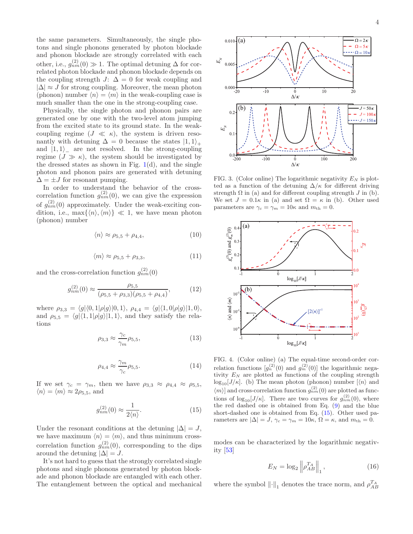the same parameters. Simultaneously, the single photons and single phonons generated by photon blockade and phonon blockade are strongly correlated with each other, i.e.,  $g_{nm}^{(2)}(0) \gg 1$ . The optimal detuning  $\Delta$  for correlated photon blockade and phonon blockade depends on the coupling strength  $J: \Delta = 0$  for weak coupling and  $|\Delta| \approx J$  for strong coupling. Moreover, the mean photon (phonon) number  $\langle n \rangle = \langle m \rangle$  in the weak-coupling case is much smaller than the one in the strong-coupling case.

Physically, the single photon and phonon pairs are generated one by one with the two-level atom jumping from the excited state to its ground state. In the weakcoupling regime  $(J \ll \kappa)$ , the system is driven resonantly with detuning  $\Delta = 0$  because the states  $|1,1\rangle_+$ and  $|1, 1\rangle$  are not resolved. In the strong-coupling regime  $(J \gg \kappa)$ , the system should be investigated by the dressed states as shown in Fig.  $1(d)$ , and the single photon and phonon pairs are generated with detuning  $\Delta = \pm J$  for resonant pumping.

In order to understand the behavior of the crosscorrelation function  $g_{nm}^{(2)}(0)$ , we can give the expression of  $g_{nm}^{(2)}(0)$  approximately. Under the weak-exciting condition, i.e.,  $\max\{\langle n\rangle,\langle m\rangle\} \ll 1$ , we have mean photon (phonon) number

$$
\langle n \rangle \approx \rho_{5,5} + \rho_{4,4},\tag{10}
$$

$$
\langle m \rangle \approx \rho_{5,5} + \rho_{3,3},\tag{11}
$$

and the cross-correlation function  $g_{nm}^{(2)}(0)$ 

$$
g_{nm}^{(2)}(0) \approx \frac{\rho_{5,5}}{(\rho_{5,5} + \rho_{3,3})(\rho_{5,5} + \rho_{4,4})},\tag{12}
$$

where  $\rho_{3,3} = \langle g|\langle 0, 1|\rho|g\rangle|0, 1\rangle, \rho_{4,4} = \langle g|\langle 1, 0|\rho|g\rangle|1, 0\rangle,$ and  $\rho_{5,5} = \langle g|\langle 1, 1|\rho|g\rangle|1, 1\rangle$ , and they satisfy the relations

$$
\rho_{3,3} \approx \frac{\gamma_c}{\gamma_m} \rho_{5,5},\tag{13}
$$

$$
\rho_{4,4} \approx \frac{\gamma_m}{\gamma_c} \rho_{5,5}.\tag{14}
$$

If we set  $\gamma_c = \gamma_m$ , then we have  $\rho_{3,3} \approx \rho_{4,4} \approx \rho_{5,5}$ ,  $\langle n \rangle = \langle m \rangle \approx 2\rho_{5,5}$ , and

$$
g_{nm}^{(2)}(0) \approx \frac{1}{2\langle n \rangle}.\tag{15}
$$

Under the resonant conditions at the detuning  $|\Delta| = J$ , we have maximum  $\langle n \rangle = \langle m \rangle$ , and thus minimum crosscorrelation function  $g_{nm}^{(2)}(0)$ , corresponding to the dips around the detuning  $|\Delta| = J$ .

It's not hard to guess that the strongly correlated single photons and single phonons generated by photon blockade and phonon blockade are entangled with each other. The entanglement between the optical and mechanical



FIG. 3. (Color online) The logarithmic negativity  $E<sub>N</sub>$  is plotted as a function of the detuning  $\Delta/\kappa$  for different driving strength  $\Omega$  in (a) and for different coupling strength  $J$  in (b). We set  $J = 0.1\kappa$  in (a) and set  $\Omega = \kappa$  in (b). Other used parameters are  $\gamma_c = \gamma_m = 10\kappa$  and  $m_{\text{th}} = 0$ .



FIG. 4. (Color online) (a) The equal-time second-order correlation functions  $[g_n^{(2)}(0)$  and  $g_m^{(2)}(0)]$  the logarithmic negativity  $E_N$  are plotted as functions of the coupling strength  $\log_{10}[J/\kappa]$ . (b) The mean photon (phonon) number  $\langle n \rangle$  and  $\langle m \rangle$  and cross-correlation function  $g_{nm}^{(2)}(0)$  are plotted as functions of  $\log_{10}[J/\kappa]$ . There are two curves for  $g_{nm}^{(2)}(0)$ , where the red dashed one is obtained from Eq. (9) and the blue short-dashed one is obtained from Eq. (15). Other used parameters are  $|\Delta| = J$ ,  $\gamma_c = \gamma_m = 10\kappa$ ,  $\Omega = \kappa$ , and  $m_{\text{th}} = 0$ .

modes can be characterized by the logarithmic negativity [53]

$$
E_N = \log_2 \left\| \rho_{AB}^{T_A} \right\|_1, \tag{16}
$$

where the symbol  $\left\Vert \cdot\right\Vert _{1}$  denotes the trace norm, and  $\rho_{AB}^{T_{A}}$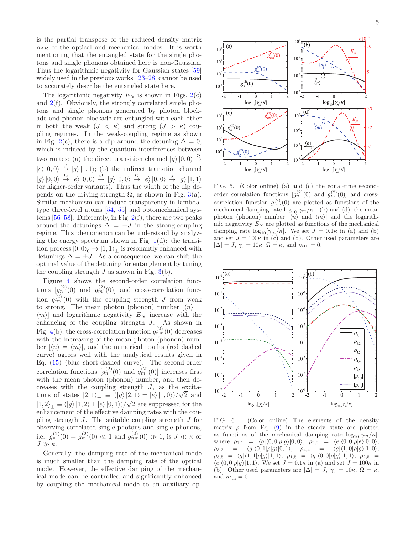is the partial transpose of the reduced density matrix  $\rho_{AB}$  of the optical and mechanical modes. It is worth mentioning that the entangled state for the single photons and single phonons obtained here is non-Gaussian. Thus the logarithmic negativity for Gaussian states [59] widely used in the previous works [23–28] cannot be used to accurately describe the entangled state here.

The logarithmic negativity  $E_N$  is shown in Figs. 2(c) and 2(f). Obviously, the strongly correlated single photons and single phonons generated by photon blockade and phonon blockade are entangled with each other in both the weak  $(J < \kappa)$  and strong  $(J > \kappa)$  coupling regimes. In the weak-coupling regime as shown in Fig. 2(c), there is a dip around the detuning  $\Delta = 0$ , which is induced by the quantum interferences between two routes: (a) the direct transition channel  $|g\rangle|0,0\rangle \stackrel{\Omega}{\rightarrow}$  $|e\rangle|0,0\rangle \stackrel{J}{\rightarrow} |g\rangle|1,1\rangle;$  (b) the indirect transition channel  $|g\rangle|0,0\rangle \stackrel{\Omega}{\rightarrow} |e\rangle|0,0\rangle \stackrel{\Omega}{\rightarrow} |g\rangle|0,0\rangle \stackrel{\Omega}{\rightarrow} |e\rangle|0,0\rangle \stackrel{J}{\rightarrow} |g\rangle|1,1\rangle$ (or higher-order variants). Thus the width of the dip depends on the driving strength Ω, as shown in Fig. 3(a). Similar mechanism can induce transparency in lambdatype three-level atoms [54, 55] and optomechanical systems  $[56–58]$ . Differently, in Fig.  $2(f)$ , there are two peaks around the detunings  $\Delta = \pm J$  in the strong-coupling regime. This phenomenon can be understood by analyzing the energy spectrum shown in Fig.  $1(d)$ : the transition process  $|0,0\rangle_0 \rightarrow |1,1\rangle_{\pm}$  is resonantly enhanced with detunings  $\Delta = \pm J$ . As a consequence, we can shift the optimal value of the detuning for entanglement by tuning the coupling strength  $J$  as shown in Fig. 3(b).

Figure 4 shows the second-order correlation functions  $[g_n^{(2)}(0)$  and  $g_m^{(2)}(0)]$  and cross-correlation function  $g_{nm}^{(2)}(0)$  with the coupling strength J from weak to strong. The mean photon (phonon) number  $\vert \langle n \rangle$  =  $\langle m \rangle$  and logarithmic negativity  $E_N$  increase with the enhancing of the coupling strength J. As shown in Fig. 4(b), the cross-correlation function  $g_{nm}^{(2)}(0)$  decreases with the increasing of the mean photon (phonon) number  $\lceil \langle n \rangle = \langle m \rangle$ , and the numerical results (red dashed curve) agrees well with the analytical results given in Eq. (15) (blue short-dashed curve). The second-order correlation functions  $[g_n^{(2)}(0)$  and  $g_m^{(2)}(0)]$  increases first with the mean photon (phonon) number, and then decreases with the coupling strength  $J$ , as the excitations of states  $|2, 1\rangle_{\pm} \equiv (|g\rangle|2, 1\rangle \pm |e\rangle|1, 0\rangle)/\sqrt{2}$  and  $|1,2\rangle_{\pm} \equiv (|g\rangle |1,2\rangle \pm |e\rangle |0,1\rangle)/\sqrt{2}$  are suppressed for the enhancement of the effective damping rates with the coupling strength  $J$ . The suitable coupling strength  $J$  for observing correlated single photons and single phonons, i.e.,  $g_n^{(2)}(0) = g_m^{(2)}(0) \ll 1$  and  $g_{nm}^{(2)}(0) \gg 1$ , is  $J \ll \kappa$  or J ≫ κ.

Generally, the damping rate of the mechanical mode is much smaller than the damping rate of the optical mode. However, the effective damping of the mechanical mode can be controlled and significantly enhanced by coupling the mechanical mode to an auxiliary op-



FIG. 5. (Color online) (a) and (c) the equal-time secondorder correlation functions  $[g_n^{(2)}(0)$  and  $g_m^{(2)}(0)]$  and crosscorrelation function  $g_{nm}^{(2)}(0)$  are plotted as functions of the mechanical damping rate  $\log_{10}[\gamma_m/\kappa]$ . (b) and (d), the mean photon (phonon) number  $\vert \langle n \rangle$  and  $\langle m \rangle$  and the logarithmic negativity  $E_N$  are plotted as functions of the mechanical damping rate  $\log_{10}[\gamma_m/\kappa]$ . We set  $J = 0.1\kappa$  in (a) and (b) and set  $J = 100\kappa$  in (c) and (d). Other used parameters are  $|\Delta| = J$ ,  $\gamma_c = 10\kappa$ ,  $\Omega = \kappa$ , and  $m_{\text{th}} = 0$ .



FIG. 6. (Color online) The elements of the density matrix  $\rho$  from Eq. (9) in the steady state are plotted as functions of the mechanical damping rate  $\log_{10}[\gamma_m/\kappa],$ where  $\rho_{1,1} = \langle g|\langle 0, 0|\rho|g\rangle|0, 0\rangle, \rho_{2,2} = \langle e|\langle 0, 0|\rho|e\rangle|0, 0\rangle,$  $\rho_{3,3} = \langle g|\langle 0, 1|\rho|g\rangle|0, 1\rangle, \quad \rho_{4,4} = \langle g|\langle 1, 0|\rho|g\rangle|1, 0\rangle,$  $\rho_{5,5} = \langle g|\langle 1, 1|\rho|g\rangle|1, 1\rangle, \rho_{1,5} = \langle g|\langle 0, 0|\rho|g\rangle|1, 1\rangle, \rho_{2,5} =$  $\langle e| \langle 0, 0| \rho | g \rangle |1, 1 \rangle$ . We set  $J = 0.1\kappa$  in (a) and set  $J = 100\kappa$  in (b). Other used parameters are  $|\Delta| = J$ ,  $\gamma_c = 10\kappa$ ,  $\Omega = \kappa$ , and  $m_{\text{th}} = 0$ .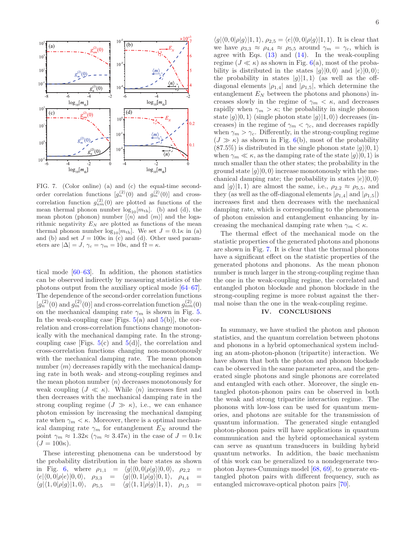

FIG. 7. (Color online) (a) and (c) the equal-time secondorder correlation functions  $[g_n^{(2)}(0)$  and  $g_m^{(2)}(0)]$  and crosscorrelation function  $g_{nm}^{(2)}(0)$  are plotted as functions of the mean thermal phonon number  $\log_{10}[m_{\text{th}}]$ . (b) and (d), the mean photon (phonon) number  $[\langle n \rangle$  and  $\langle m \rangle]$  and the logarithmic negativity  $E<sub>N</sub>$  are plotted as functions of the mean thermal phonon number  $\log_{10}[m_{\text{th}}]$ . We set  $J = 0.1\kappa$  in (a) and (b) and set  $J = 100\kappa$  in (c) and (d). Other used parameters are  $|\Delta| = J$ ,  $\gamma_c = \gamma_m = 10\kappa$ , and  $\Omega = \kappa$ .

tical mode [60–63]. In addition, the phonon statistics can be observed indirectly by measuring statistics of the photons output from the auxiliary optical mode [64–67]. The dependence of the second-order correlation functions  $[g_n^{(2)}(0)$  and  $g_m^{(2)}(0)]$  and cross-correlation function  $g_{nm}^{(2)}(0)$ on the mechanical damping rate  $\gamma_m$  is shown in Fig. 5. In the weak-coupling case [Figs.  $5(a)$  and  $5(b)$ ], the correlation and cross-correlation functions change monotonically with the mechanical damping rate. In the strongcoupling case [Figs.  $5(c)$  and  $5(d)$ ], the correlation and cross-correlation functions changing non-monotonously with the mechanical damping rate. The mean phonon number  $\langle m \rangle$  decreases rapidly with the mechanical damping rate in both weak- and strong-coupling regimes and the mean photon number  $\langle n \rangle$  decreases monotonously for weak coupling  $(J \ll \kappa)$ . While  $\langle n \rangle$  increases first and then decreases with the mechanical damping rate in the strong coupling regime  $(J \gg \kappa)$ , i.e., we can enhance photon emission by increasing the mechanical damping rate when  $\gamma_m < \kappa$ . Moreover, there is a optimal mechanical damping rate  $\gamma_m$  for entanglement  $E_N$  around the point  $\gamma_m \approx 1.32\kappa \ (\gamma_m \approx 3.47\kappa)$  in the case of  $J = 0.1\kappa$  $(J = 100\kappa).$ 

These interesting phenomena can be understood by the probability distribution in the bare states as shown in Fig. 6, where  $\rho_{1,1} = \langle g|\langle 0, 0|\rho|g\rangle|0, 0\rangle$ ,  $\rho_{2,2} = \langle e|\langle 0, 0|\rho|e\rangle|0, 0\rangle$ ,  $\rho_{3,3} = \langle q|\langle 0, 1|\rho|g\rangle|0, 1\rangle$ ,  $\rho_{4,4} =$  $\langle e|\langle 0, 0|\rho|e\rangle|0, 0\rangle, \quad \rho_{3,3} = \langle g|\langle 0, 1|\rho|g\rangle|0, 1\rangle, \quad \rho_{4,4} = \langle g|\langle 1, 0|\rho|g\rangle|1, 1\rangle, \quad \rho_{1,5} = \langle g|\langle 1, 1|\rho|g\rangle|1, 1\rangle, \quad \rho_{1,5} =$  $\langle g|\langle 1, 0|\rho|g\rangle|1, 0\rangle, \quad \rho_{5,5} = \langle g|\langle 1, 1|\rho|g\rangle|1, 1\rangle, \quad \rho_{1,5}$ 

 $\langle g|\langle 0, 0|\rho|g\rangle|1, 1\rangle, \rho_{2,5} = \langle e|\langle 0, 0|\rho|g\rangle|1, 1\rangle.$  It is clear that we have  $\rho_{3,3} \approx \rho_{4,4} \approx \rho_{5,5}$  around  $\gamma_m = \gamma_c$ , which is agree with Eqs.  $(13)$  and  $(14)$ . In the weak-coupling regime ( $J \ll \kappa$ ) as shown in Fig. 6(a), most of the probability is distributed in the states  $|g\rangle|0,0\rangle$  and  $|e\rangle|0,0\rangle$ ; the probability in states  $|g\rangle|1,1\rangle$  (as well as the offdiagonal elements  $|\rho_{1,4}|$  and  $|\rho_{1,5}|$ , which determine the entanglement  $E<sub>N</sub>$  between the photons and phonons) increases slowly in the regime of  $\gamma_m < \kappa$ , and decreases rapidly when  $\gamma_m > \kappa$ ; the probability in single phonon state  $|g\rangle|0,1\rangle$  (single photon state  $|g\rangle|1,0\rangle$ ) decreases (increases) in the regime of  $\gamma_m < \gamma_c$ , and decreases rapidly when  $\gamma_m > \gamma_c$ . Differently, in the strong-coupling regime  $(J \gg \kappa)$  as shown in Fig. 6(b), most of the probability  $(87.5\%)$  is distributed in the single phonon state  $|g\rangle|0, 1\rangle$ when  $\gamma_m \ll \kappa$ , as the damping rate of the state  $|g\rangle|0,1\rangle$  is much smaller than the other states; the probability in the ground state  $|g\rangle|0, 0\rangle$  increase monotonously with the mechanical damping rate; the probability in states  $|e\rangle|0, 0\rangle$ and  $|g\rangle|1,1\rangle$  are almost the same, i.e.,  $\rho_{2,2} \approx \rho_{5,5}$ , and they (as well as the off-diagonal elements  $|\rho_{1,4}|$  and  $|\rho_{1,5}|$ ) increases first and then decreases with the mechanical damping rate, which is corresponding to the phenomena of photon emission and entanglement enhancing by increasing the mechanical damping rate when  $\gamma_m < \kappa$ .

The thermal effect of the mechanical mode on the statistic properties of the generated photons and phonons are shown in Fig. 7. It is clear that the thermal phonons have a significant effect on the statistic properties of the generated photons and phonons. As the mean phonon number is much larger in the strong-coupling regime than the one in the weak-coupling regime, the correlated and entangled photon blockade and phonon blockade in the strong-coupling regime is more robust against the thermal noise than the one in the weak-coupling regime.

## IV. CONCLUSIONS

In summary, we have studied the photon and phonon statistics, and the quantum correlation between photons and phonons in a hybrid optomechanical system including an atom-photon-phonon (tripartite) interaction. We have shown that both the photon and phonon blockade can be observed in the same parameter area, and the generated single photons and single phonons are correlated and entangled with each other. Moreover, the single entangled photon-phonon pairs can be observed in both the weak and strong tripartite interaction regime. The phonons with low-loss can be used for quantum memories, and photons are suitable for the transmission of quantum information. The generated single entangled photon-phonon pairs will have applications in quantum communication and the hybrid optomechanical system can serve as quantum transducers in building hybrid quantum networks. In addition, the basic mechanism of this work can be generalized to a nondegenerate twophoton Jaynes-Cummings model [68, 69], to generate entangled photon pairs with different frequency, such as entangled microwave-optical photon pairs [70].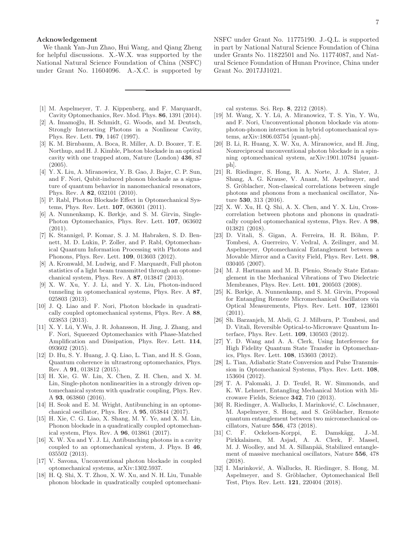### Acknowledgement

We thank Yan-Jun Zhao, Hui Wang, and Qiang Zheng for helpful discussions. X.-W.X. was supported by the National Natural Science Foundation of China (NSFC) under Grant No. 11604096. A.-X.C. is supported by

- NSFC under Grant No. 11775190. J.-Q.L. is supported in part by National Natural Science Foundation of China under Grants No. 11822501 and No. 11774087, and Natural Science Foundation of Hunan Province, China under Grant No. 2017JJ1021.
- [1] M. Aspelmeyer, T. J. Kippenberg, and F. Marquardt, Cavity Optomechanics, Rev. Mod. Phys. 86, 1391 (2014).
- [2] A. Imamoğlu, H. Schmidt, G. Woods, and M. Deutsch, Strongly Interacting Photons in a Nonlinear Cavity, Phys. Rev. Lett. 79, 1467 (1997).
- [3] K. M. Birnbaum, A. Boca, R. Miller, A. D. Boozer, T. E. Northup, and H. J. Kimble, Photon blockade in an optical cavity with one trapped atom, Nature (London) 436, 87  $(2005).$
- [4] Y. X. Liu, A. Miranowicz, Y. B. Gao, J. Bajer, C. P. Sun, and F. Nori, Qubit-induced phonon blockade as a signature of quantum behavior in nanomechanical resonators, Phys. Rev. A 82, 032101 (2010).
- [5] P. Rabl, Photon Blockade Effect in Optomechanical Systems, Phys. Rev. Lett. 107, 063601 (2011).
- [6] A. Nunnenkamp, K. Børkje, and S. M. Girvin, Single-Photon Optomechanics, Phys. Rev. Lett. 107, 063602 (2011).
- [7] K. Stannigel, P. Komar, S. J. M. Habraken, S. D. Bennett, M. D. Lukin, P. Zoller, and P. Rabl, Optomechanical Quantum Information Processing with Photons and Phonons, Phys. Rev. Lett. 109, 013603 (2012).
- [8] A. Kronwald, M. Ludwig, and F. Marquardt, Full photon statistics of a light beam transmitted through an optomechanical system, Phys. Rev. A 87, 013847 (2013).
- [9] X. W. Xu, Y. J. Li, and Y. X. Liu, Photon-induced tunneling in optomechanical systems, Phys. Rev. A 87, 025803 (2013).
- [10] J. Q. Liao and F. Nori, Photon blockade in quadratically coupled optomechanical systems, Phys. Rev. A 88, 023853 (2013).
- [11] X. Y. Lü, Y. Wu, J. R. Johansson, H. Jing, J. Zhang, and F. Nori, Squeezed Optomechanics with Phase-Matched Amplification and Dissipation, Phys. Rev. Lett. 114, 093602 (2015).
- [12] D. Hu, S. Y. Huang, J. Q. Liao, L. Tian, and H. S. Goan, Quantum coherence in ultrastrong optomechanics, Phys. Rev. A 91, 013812 (2015).
- [13] H. Xie, G. W. Lin, X. Chen, Z. H. Chen, and X. M. Lin, Single-photon nonlinearities in a strongly driven optomechanical system with quadratic coupling, Phys. Rev. A 93, 063860 (2016).
- [14] H. Seok and E. M. Wright, Antibunching in an optomechanical oscillator, Phys. Rev. A 95, 053844 (2017).
- [15] H. Xie, C. G. Liao, X. Shang, M. Y. Ye, and X. M. Lin, Phonon blockade in a quadratically coupled optomechanical system, Phys. Rev. A 96, 013861 (2017).
- [16] X. W. Xu and Y. J. Li, Antibunching photons in a cavity coupled to an optomechanical system, J. Phys. B 46, 035502 (2013).
- [17] V. Savona, Unconventional photon blockade in coupled optomechanical systems, arXiv:1302.5937.
- [18] H. Q. Shi, X. T. Zhou, X. W. Xu, and N. H. Liu, Tunable phonon blockade in quadratically coupled optomechani-

cal systems. Sci. Rep. 8, 2212 (2018).

- [19] M. Wang, X. Y. Lü, A. Miranowicz, T. S. Yin, Y. Wu, and F. Nori, Unconventional phonon blockade via atomphoton-phonon interaction in hybrid optomechanical systems, arXiv:1806.03754 [quant-ph].
- [20] B. Li, R. Huang, X. W. Xu, A. Miranowicz, and H. Jing, Nonreciprocal unconventional photon blockade in a spinning optomechanical system, arXiv:1901.10784 [quantph].
- [21] R. Riedinger, S. Hong, R. A. Norte, J. A. Slater, J. Shang, A. G. Krause, V. Anant, M. Aspelmeyer, and S. Gröblacher, Non-classical correlations between single photons and phonons from a mechanical oscillator, Nature 530, 313 (2016).
- [22] X. W. Xu, H. Q. Shi, A. X. Chen, and Y. X. Liu, Crosscorrelation between photons and phonons in quadratically coupled optomechanical systems, Phys. Rev. A 98, 013821 (2018).
- [23] D. Vitali, S. Gigan, A. Ferreira, H. R. Böhm, P. Tombesi, A. Guerreiro, V. Vedral, A. Zeilinger, and M. Aspelmeyer, Optomechanical Entanglement between a Movable Mirror and a Cavity Field, Phys. Rev. Lett. 98, 030405 (2007).
- [24] M. J. Hartmann and M. B. Plenio, Steady State Entanglement in the Mechanical Vibrations of Two Dielectric Membranes, Phys. Rev. Lett. 101, 200503 (2008).
- [25] K. Børkje, A. Nunnenkamp, and S. M. Girvin, Proposal for Entangling Remote Micromechanical Oscillators via Optical Measurements, Phys. Rev. Lett. 107, 123601  $(2011).$
- [26] Sh. Barzanjeh, M. Abdi, G. J. Milburn, P. Tombesi, and D. Vitali, Reversible Optical-to-Microwave Quantum Interface, Phys. Rev. Lett. 109, 130503 (2012).
- [27] Y. D. Wang and A. A. Clerk, Using Interference for High Fidelity Quantum State Transfer in Optomechanics, Phys. Rev. Lett. 108, 153603 (2012).
- [28] L. Tian, Adiabatic State Conversion and Pulse Transmission in Optomechanical Systems, Phys. Rev. Lett. 108, 153604 (2012).
- [29] T. A. Palomaki, J. D. Teufel, R. W. Simmonds, and K. W. Lehnert, Entangling Mechanical Motion with Microwave Fields, Science 342, 710 (2013).
- [30] R. Riedinger, A. Wallucks, I. Marinković, C. Löschnauer, M. Aspelmeyer, S. Hong, and S. Gröblacher, Remote quantum entanglement between two micromechanical oscillators, Nature  $556$ ,  $473$  (2018).<br>C. F. Ockeloen-Korppi, E.
- [31] C. F. Ockeloen-Korppi, E. Damskägg, J.-M. Pirkkalainen, M. Asjad, A. A. Clerk, F. Massel, M. J. Woolley, and M. A. Sillanpää, Stabilized entanglement of massive mechanical oscillators, Nature 556, 478 (2018).
- [32] I. Marinković, A. Wallucks, R. Riedinger, S. Hong, M. Aspelmeyer, and S. Gröblacher, Optomechanical Bell Test, Phys. Rev. Lett. 121, 220404 (2018).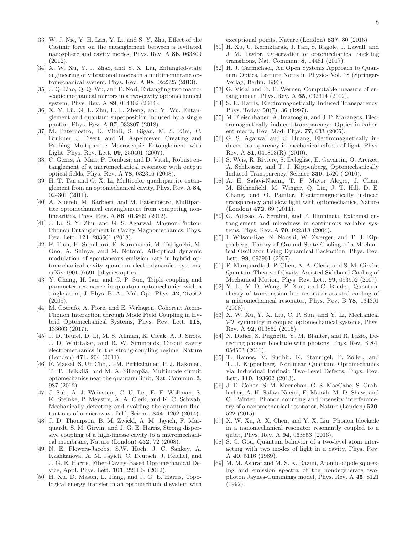- [33] W. J. Nie, Y. H. Lan, Y. Li, and S. Y. Zhu, Effect of the Casimir force on the entanglement between a levitated nanosphere and cavity modes, Phys. Rev. A 86, 063809 (2012).
- [34] X. W. Xu, Y. J. Zhao, and Y. X. Liu, Entangled-state engineering of vibrational modes in a multimembrane optomechanical system, Phys. Rev. A 88, 022325 (2013).
- [35] J. Q. Liao, Q. Q. Wu, and F. Nori, Entangling two macroscopic mechanical mirrors in a two-cavity optomechanical system, Phys. Rev. A 89, 014302 (2014).
- [36] X. Y. Lü, G. L. Zhu, L. L. Zheng, and Y. Wu, Entanglement and quantum superposition induced by a single photon, Phys. Rev. A 97, 033807 (2018).
- [37] M. Paternostro, D. Vitali, S. Gigan, M. S. Kim, C. Brukner, J. Eisert, and M. Aspelmeyer, Creating and Probing Multipartite Macroscopic Entanglement with Light, Phys. Rev. Lett. 99, 250401 (2007).
- [38] C. Genes, A. Mari, P. Tombesi, and D. Vitali, Robust entanglement of a micromechanical resonator with output optical fields, Phys. Rev. A 78, 032316 (2008).
- [39] H. T. Tan and G. X. Li, Multicolor quadripartite entanglement from an optomechanical cavity, Phys. Rev. A 84, 024301 (2011).
- [40] A. Xuereb, M. Barbieri, and M. Paternostro, Multipartite optomechanical entanglement from competing nonlinearities, Phys. Rev. A 86, 013809 (2012).
- [41] J. Li, S. Y. Zhu, and G. S. Agarwal, Magnon-Photon-Phonon Entanglement in Cavity Magnomechanics, Phys. Rev. Lett. 121, 203601 (2018).
- [42] F. Tian, H. Sumikura, E. Kuramochi, M. Takiguchi, M. Ono, A. Shinya, and M. Notomi, All-optical dynamic modulation of spontaneous emission rate in hybrid optomechanical cavity quantum electrodynamics systems, arXiv:1901.07691 [physics.optics].
- [43] Y. Chang, H. Ian, and C. P. Sun, Triple coupling and parameter resonance in quantum optomechanics with a single atom, J. Phys. B: At. Mol. Opt. Phys. 42, 215502 (2009).
- [44] M. Cotrufo, A. Fiore, and E. Verhagen, Coherent Atom-Phonon Interaction through Mode Field Coupling in Hybrid Optomechanical Systems, Phys. Rev. Lett. 118, 133603 (2017).
- [45] J. D. Teufel, D. Li, M. S. Allman, K. Cicak, A. J. Sirois, J. D. Whittaker, and R. W. Simmonds, Circuit cavity electromechanics in the strong-coupling regime, Nature (London) 471, 204 (2011).
- [46] F. Massel, S. Un Cho, J.-M. Pirkkalainen, P. J. Hakonen, T. T. Heikkilä, and M. A. Sillanpää, Multimode circuit optomechanics near the quantum limit, Nat. Commun. 3, 987 (2012).
- [47] J. Suh, A. J. Weinstein, C. U. Lei, E. E. Wollman, S. K. Steinke, P. Meystre, A. A. Clerk, and K. C. Schwab, Mechanically detecting and avoiding the quantum fluctuations of a microwave field, Science 344, 1262 (2014).
- [48] J. D. Thompson, B. M. Zwickl, A. M. Jayich, F. Marquardt, S. M. Girvin, and J. G. E. Harris, Strong dispersive coupling of a high-finesse cavity to a micromechanical membrane, Nature (London) 452, 72 (2008).
- [49] N. E. Flowers-Jacobs, S.W. Hoch, J. C. Sankey, A. Kashkanova, A. M. Jayich, C. Deutsch, J. Reichel, and J. G. E. Harris, Fiber-Cavity-Based Optomechanical Device, Appl. Phys. Lett. 101, 221109 (2012).
- [50] H. Xu, D. Mason, L. Jiang, and J. G. E. Harris, Topological energy transfer in an optomechanical system with

exceptional points, Nature (London) 537, 80 (2016).

- [51] H. Xu, U. Kemiktarak, J. Fan, S. Ragole, J. Lawall, and J. M. Taylor, Observation of optomechanical buckling transitions, Nat. Commun. 8, 14481 (2017).
- [52] H. J. Carmichael, An Open Systems Approach to Quantum Optics, Lecture Notes in Physics Vol. 18 (Springer-Verlag, Berlin, 1993).
- [53] G. Vidal and R. F. Werner, Computable measure of entanglement, Phys. Rev. A 65, 032314 (2002).
- [54] S. E. Harris, Electromagnetically Induced Transparency, Phys. Today 50(7), 36 (1997).
- [55] M. Fleischhauer, A. Imamoglu, and J. P. Marangos, Electromagnetically induced transparency: Optics in coherent media, Rev. Mod. Phys. 77, 633 (2005).
- [56] G. S. Agarwal and S. Huang, Electromagnetically induced transparency in mechanical effects of light, Phys. Rev. A 81, 041803(R) (2010).
- [57] S. Weis, R. Riviere, S. Deleglise, E. Gavartin, O. Arcizet, A. Schliesser, and T. J. Kippenberg, Optomechanically Induced Transparency, Science 330, 1520 ( 2010).
- [58] A. H. Safavi-Naeini, T. P. Mayer Alegre, J. Chan, M. Eichenfield, M. Winger, Q. Lin, J. T. Hill, D. E. Chang, and O. Painter, Electromagnetically induced transparency and slow light with optomechanics, Nature (London) 472, 69 (2011).
- [59] G. Adesso, A. Serafini, and F. Illuminati, Extremal entanglement and mixedness in continuous variable systems, Phys. Rev. A 70, 022318 (2004).
- [60] I. Wilson-Rae, N. Nooshi, W. Zwerger, and T. J. Kippenberg, Theory of Ground State Cooling of a Mechanical Oscillator Using Dynamical Backaction, Phys. Rev. Lett. 99, 093901 (2007).
- [61] F. Marquardt, J. P. Chen, A. A. Clerk, and S. M. Girvin, Quantum Theory of Cavity-Assisted Sideband Cooling of Mechanical Motion, Phys. Rev. Lett. 99, 093902 (2007).
- [62] Y. Li, Y. D. Wang, F. Xue, and C. Bruder, Quantum theory of transmission line resonator-assisted cooling of a micromechanical resonator, Phys. Rev. B 78, 134301 (2008).
- [63] X. W. Xu, Y. X. Liu, C. P. Sun, and Y. Li, Mechanical  $PT$  symmetry in coupled optomechanical systems, Phys. Rev. A 92, 013852 (2015).
- [64] N. Didier, S. Pugnetti, Y. M. Blanter, and R. Fazio, Detecting phonon blockade with photons, Phys. Rev. B 84, 054503 (2011).
- [65] T. Ramos, V. Sudhir, K. Stannigel, P. Zoller, and T. J. Kippenberg, Nonlinear Quantum Optomechanics via Individual Intrinsic Two-Level Defects, Phys. Rev. Lett. 110, 193602 (2013).
- [66] J. D. Cohen, S. M. Meenehan, G. S. MacCabe, S. Groblacher, A. H. Safavi-Naeini, F. Marsili, M. D. Shaw, and O. Painter, Phonon counting and intensity interferometry of a nanomechanical resonator, Nature (London) 520, 522 (2015).
- [67] X. W. Xu, A. X. Chen, and Y. X. Liu, Phonon blockade in a nanomechanical resonator resonantly coupled to a qubit, Phys. Rev. A 94, 063853 (2016).
- [68] S. C. Gou, Quantum behavior of a two-level atom interacting with two modes of light in a cavity, Phys. Rev. A 40, 5116 (1989).
- [69] M. M. Ashraf and M. S. K. Razmi, Atomic-dipole squeezing and emission spectra of the nondegenerate twophoton Jaynes-Cummings model, Phys. Rev. A 45, 8121 (1992).